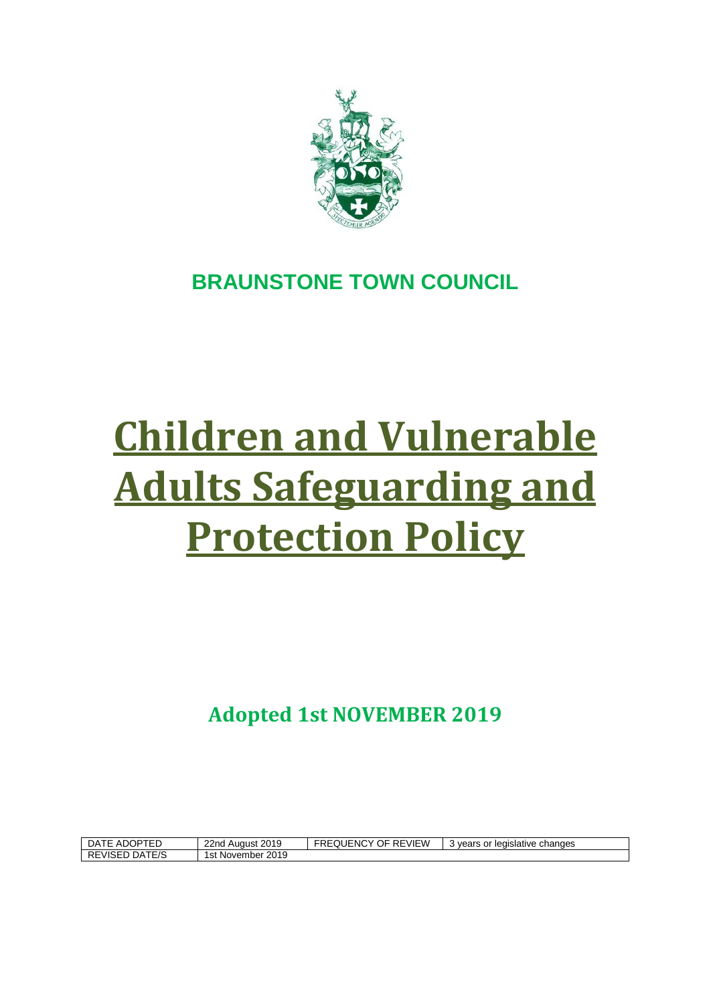

# **BRAUNSTONE TOWN COUNCIL**

# **Children and Vulnerable Adults Safeguarding and Protection Policy**

**Adopted 1st NOVEMBER 2019**

| DATE ADOPTED      | August 2019<br>22 <sub>nd</sub> | OF REVIEW<br>FREQUENCY | changes<br>vears or<br>legislative |
|-------------------|---------------------------------|------------------------|------------------------------------|
| DATE/S<br>REVISED | 2019<br>Ist November            |                        |                                    |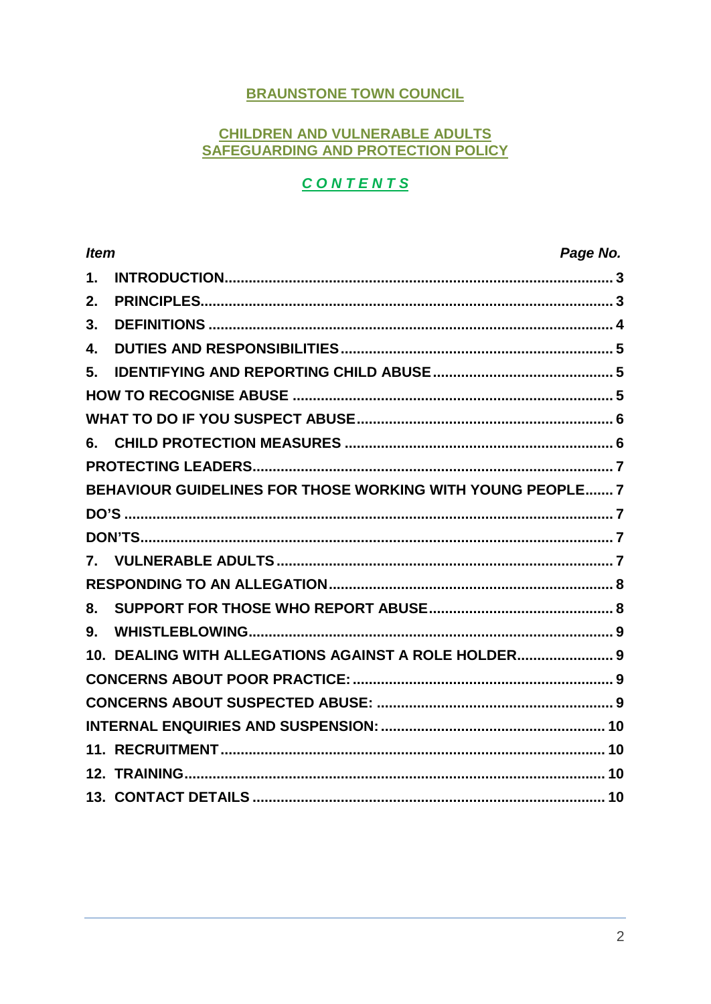# **BRAUNSTONE TOWN COUNCIL**

#### **CHILDREN AND VULNERABLE ADULTS** SAFEGUARDING AND PROTECTION POLICY

# **CONTENTS**

| <b>Item</b>   |                                                            | Page No. |
|---------------|------------------------------------------------------------|----------|
| $\mathbf 1$ . |                                                            |          |
| 2.            |                                                            |          |
| 3.            |                                                            |          |
| 4.            |                                                            |          |
| 5.            |                                                            |          |
|               |                                                            |          |
|               |                                                            |          |
|               |                                                            |          |
|               |                                                            |          |
|               | BEHAVIOUR GUIDELINES FOR THOSE WORKING WITH YOUNG PEOPLE 7 |          |
|               |                                                            |          |
|               |                                                            |          |
|               |                                                            |          |
|               |                                                            |          |
| 8.            |                                                            |          |
| 9.            |                                                            |          |
|               | 10. DEALING WITH ALLEGATIONS AGAINST A ROLE HOLDER 9       |          |
|               |                                                            |          |
|               |                                                            |          |
|               |                                                            |          |
|               |                                                            |          |
|               |                                                            |          |
|               |                                                            |          |
|               |                                                            |          |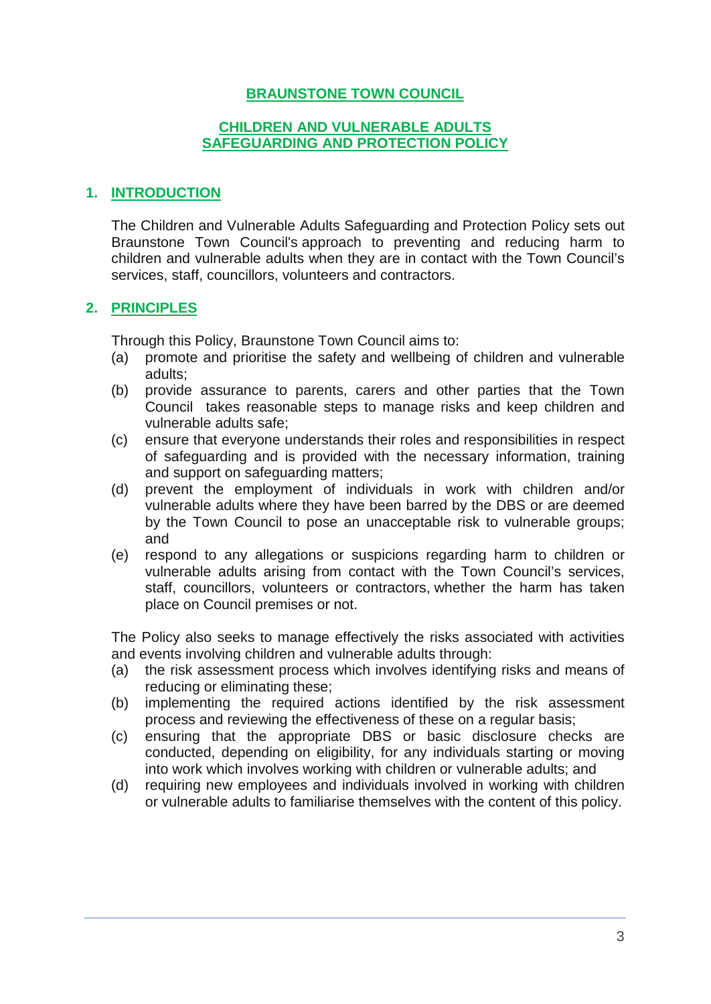# **BRAUNSTONE TOWN COUNCIL**

#### **CHILDREN AND VULNERABLE ADULTS SAFEGUARDING AND PROTECTION POLICY**

#### <span id="page-2-0"></span>**1. INTRODUCTION**

The Children and Vulnerable Adults Safeguarding and Protection Policy sets out Braunstone Town Council's approach to preventing and reducing harm to children and vulnerable adults when they are in contact with the Town Council's services, staff, councillors, volunteers and contractors.

#### <span id="page-2-1"></span>**2. PRINCIPLES**

Through this Policy, Braunstone Town Council aims to:

- (a) promote and prioritise the safety and wellbeing of children and vulnerable adults;
- (b) provide assurance to parents, carers and other parties that the Town Council takes reasonable steps to manage risks and keep children and vulnerable adults safe;
- (c) ensure that everyone understands their roles and responsibilities in respect of safeguarding and is provided with the necessary information, training and support on safeguarding matters;
- (d) prevent the employment of individuals in work with children and/or vulnerable adults where they have been barred by the DBS or are deemed by the Town Council to pose an unacceptable risk to vulnerable groups; and
- (e) respond to any allegations or suspicions regarding harm to children or vulnerable adults arising from contact with the Town Council's services, staff, councillors, volunteers or contractors, whether the harm has taken place on Council premises or not.

The Policy also seeks to manage effectively the risks associated with activities and events involving children and vulnerable adults through:

- (a) the risk assessment process which involves identifying risks and means of reducing or eliminating these;
- (b) implementing the required actions identified by the risk assessment process and reviewing the effectiveness of these on a regular basis;
- (c) ensuring that the appropriate DBS or basic disclosure checks are conducted, depending on eligibility, for any individuals starting or moving into work which involves working with children or vulnerable adults; and
- (d) requiring new employees and individuals involved in working with children or vulnerable adults to familiarise themselves with the content of this policy.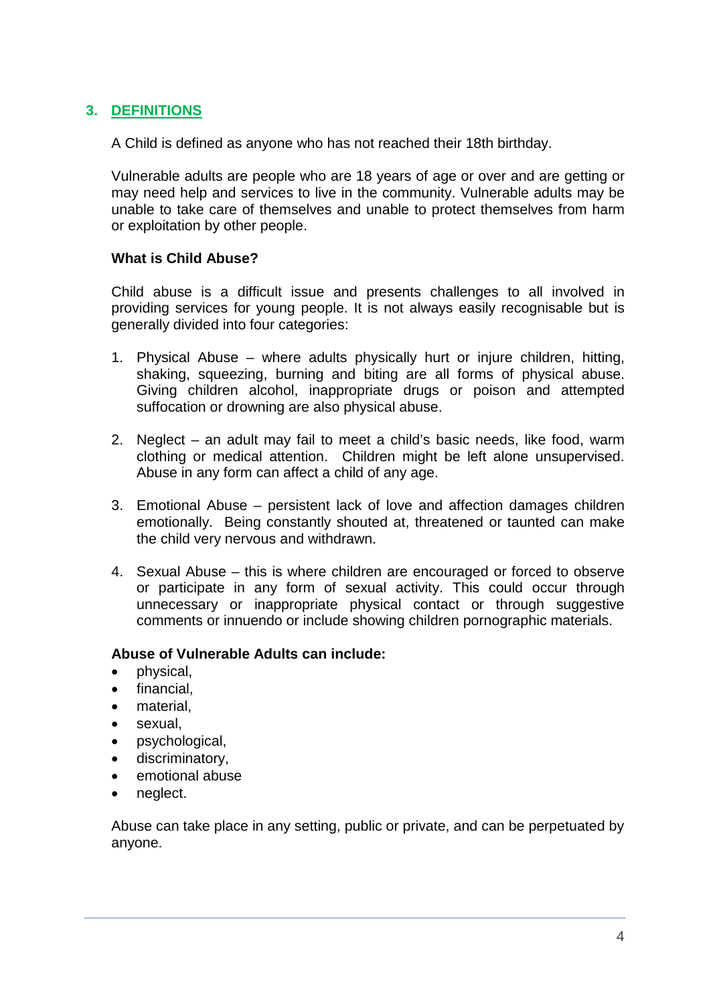# <span id="page-3-0"></span>**3. DEFINITIONS**

A Child is defined as anyone who has not reached their 18th birthday.

Vulnerable adults are people who are 18 years of age or over and are getting or may need help and services to live in the community. Vulnerable adults may be unable to take care of themselves and unable to protect themselves from harm or exploitation by other people.

#### **What is Child Abuse?**

Child abuse is a difficult issue and presents challenges to all involved in providing services for young people. It is not always easily recognisable but is generally divided into four categories:

- 1. Physical Abuse where adults physically hurt or injure children, hitting, shaking, squeezing, burning and biting are all forms of physical abuse. Giving children alcohol, inappropriate drugs or poison and attempted suffocation or drowning are also physical abuse.
- 2. Neglect an adult may fail to meet a child's basic needs, like food, warm clothing or medical attention. Children might be left alone unsupervised. Abuse in any form can affect a child of any age.
- 3. Emotional Abuse persistent lack of love and affection damages children emotionally. Being constantly shouted at, threatened or taunted can make the child very nervous and withdrawn.
- 4. Sexual Abuse this is where children are encouraged or forced to observe or participate in any form of sexual activity. This could occur through unnecessary or inappropriate physical contact or through suggestive comments or innuendo or include showing children pornographic materials.

#### **Abuse of Vulnerable Adults can include:**

- physical,
- financial.
- material.
- sexual,
- psychological,
- discriminatory,
- emotional abuse
- neglect.

Abuse can take place in any setting, public or private, and can be perpetuated by anyone.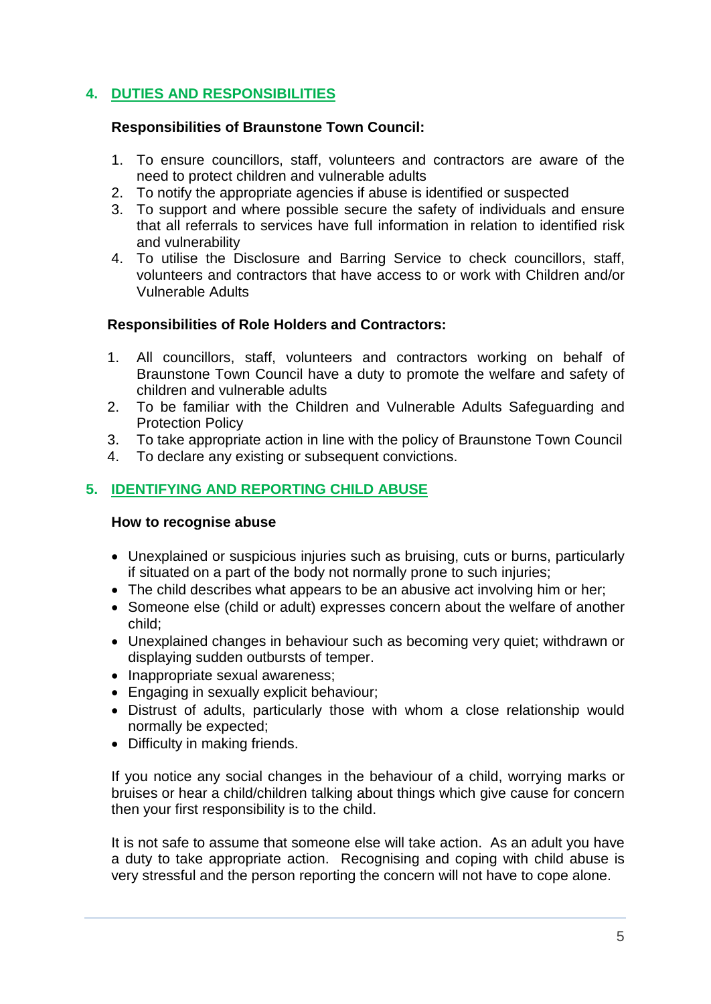# <span id="page-4-0"></span>**4. DUTIES AND RESPONSIBILITIES**

#### **Responsibilities of Braunstone Town Council:**

- 1. To ensure councillors, staff, volunteers and contractors are aware of the need to protect children and vulnerable adults
- 2. To notify the appropriate agencies if abuse is identified or suspected
- 3. To support and where possible secure the safety of individuals and ensure that all referrals to services have full information in relation to identified risk and vulnerability
- 4. To utilise the Disclosure and Barring Service to check councillors, staff, volunteers and contractors that have access to or work with Children and/or Vulnerable Adults

# **Responsibilities of Role Holders and Contractors:**

- 1. All councillors, staff, volunteers and contractors working on behalf of Braunstone Town Council have a duty to promote the welfare and safety of children and vulnerable adults
- 2. To be familiar with the Children and Vulnerable Adults Safeguarding and Protection Policy
- 3. To take appropriate action in line with the policy of Braunstone Town Council
- 4. To declare any existing or subsequent convictions.

# <span id="page-4-1"></span>**5. IDENTIFYING AND REPORTING CHILD ABUSE**

#### <span id="page-4-2"></span>**How to recognise abuse**

- Unexplained or suspicious injuries such as bruising, cuts or burns, particularly if situated on a part of the body not normally prone to such injuries;
- The child describes what appears to be an abusive act involving him or her;
- Someone else (child or adult) expresses concern about the welfare of another child;
- Unexplained changes in behaviour such as becoming very quiet; withdrawn or displaying sudden outbursts of temper.
- Inappropriate sexual awareness;
- Engaging in sexually explicit behaviour;
- Distrust of adults, particularly those with whom a close relationship would normally be expected;
- Difficulty in making friends.

If you notice any social changes in the behaviour of a child, worrying marks or bruises or hear a child/children talking about things which give cause for concern then your first responsibility is to the child.

It is not safe to assume that someone else will take action. As an adult you have a duty to take appropriate action. Recognising and coping with child abuse is very stressful and the person reporting the concern will not have to cope alone.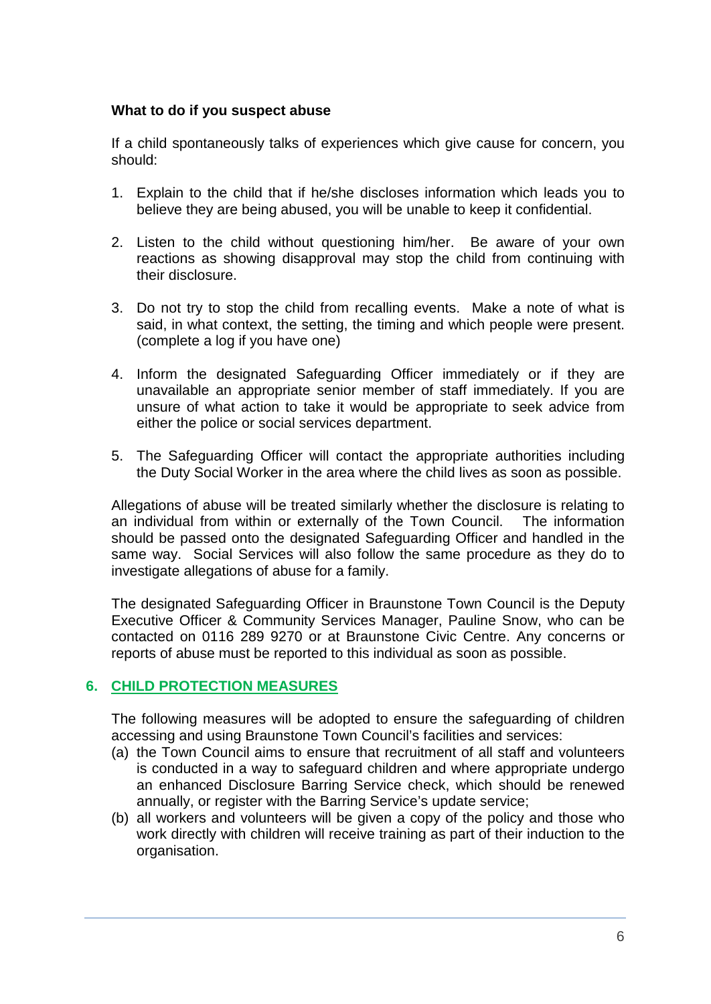#### <span id="page-5-0"></span>**What to do if you suspect abuse**

If a child spontaneously talks of experiences which give cause for concern, you should:

- 1. Explain to the child that if he/she discloses information which leads you to believe they are being abused, you will be unable to keep it confidential.
- 2. Listen to the child without questioning him/her. Be aware of your own reactions as showing disapproval may stop the child from continuing with their disclosure.
- 3. Do not try to stop the child from recalling events. Make a note of what is said, in what context, the setting, the timing and which people were present. (complete a log if you have one)
- 4. Inform the designated Safeguarding Officer immediately or if they are unavailable an appropriate senior member of staff immediately. If you are unsure of what action to take it would be appropriate to seek advice from either the police or social services department.
- 5. The Safeguarding Officer will contact the appropriate authorities including the Duty Social Worker in the area where the child lives as soon as possible.

Allegations of abuse will be treated similarly whether the disclosure is relating to an individual from within or externally of the Town Council. The information should be passed onto the designated Safeguarding Officer and handled in the same way. Social Services will also follow the same procedure as they do to investigate allegations of abuse for a family.

The designated Safeguarding Officer in Braunstone Town Council is the Deputy Executive Officer & Community Services Manager, Pauline Snow, who can be contacted on 0116 289 9270 or at Braunstone Civic Centre. Any concerns or reports of abuse must be reported to this individual as soon as possible.

# <span id="page-5-1"></span>**6. CHILD PROTECTION MEASURES**

The following measures will be adopted to ensure the safeguarding of children accessing and using Braunstone Town Council's facilities and services:

- (a) the Town Council aims to ensure that recruitment of all staff and volunteers is conducted in a way to safeguard children and where appropriate undergo an enhanced Disclosure Barring Service check, which should be renewed annually, or register with the Barring Service's update service;
- <span id="page-5-2"></span>(b) all workers and volunteers will be given a copy of the policy and those who work directly with children will receive training as part of their induction to the organisation.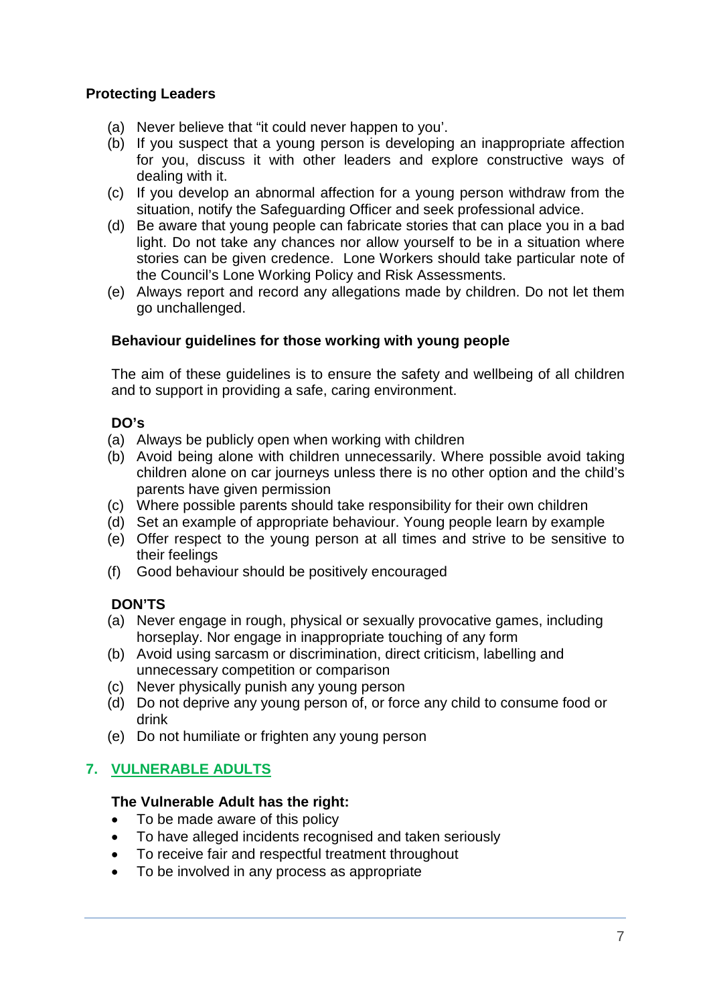# **Protecting Leaders**

- (a) Never believe that "it could never happen to you'.
- (b) If you suspect that a young person is developing an inappropriate affection for you, discuss it with other leaders and explore constructive ways of dealing with it.
- (c) If you develop an abnormal affection for a young person withdraw from the situation, notify the Safeguarding Officer and seek professional advice.
- (d) Be aware that young people can fabricate stories that can place you in a bad light. Do not take any chances nor allow yourself to be in a situation where stories can be given credence. Lone Workers should take particular note of the Council's Lone Working Policy and Risk Assessments.
- (e) Always report and record any allegations made by children. Do not let them go unchallenged.

# <span id="page-6-0"></span>**Behaviour guidelines for those working with young people**

The aim of these guidelines is to ensure the safety and wellbeing of all children and to support in providing a safe, caring environment.

# <span id="page-6-1"></span>**DO's**

- (a) Always be publicly open when working with children
- (b) Avoid being alone with children unnecessarily. Where possible avoid taking children alone on car journeys unless there is no other option and the child's parents have given permission
- (c) Where possible parents should take responsibility for their own children
- (d) Set an example of appropriate behaviour. Young people learn by example
- (e) Offer respect to the young person at all times and strive to be sensitive to their feelings
- (f) Good behaviour should be positively encouraged

# <span id="page-6-2"></span>**DON'TS**

- (a) Never engage in rough, physical or sexually provocative games, including horseplay. Nor engage in inappropriate touching of any form
- (b) Avoid using sarcasm or discrimination, direct criticism, labelling and unnecessary competition or comparison
- (c) Never physically punish any young person
- (d) Do not deprive any young person of, or force any child to consume food or drink
- (e) Do not humiliate or frighten any young person

# <span id="page-6-3"></span>**7. VULNERABLE ADULTS**

# **The Vulnerable Adult has the right:**

- To be made aware of this policy
- To have alleged incidents recognised and taken seriously
- To receive fair and respectful treatment throughout
- To be involved in any process as appropriate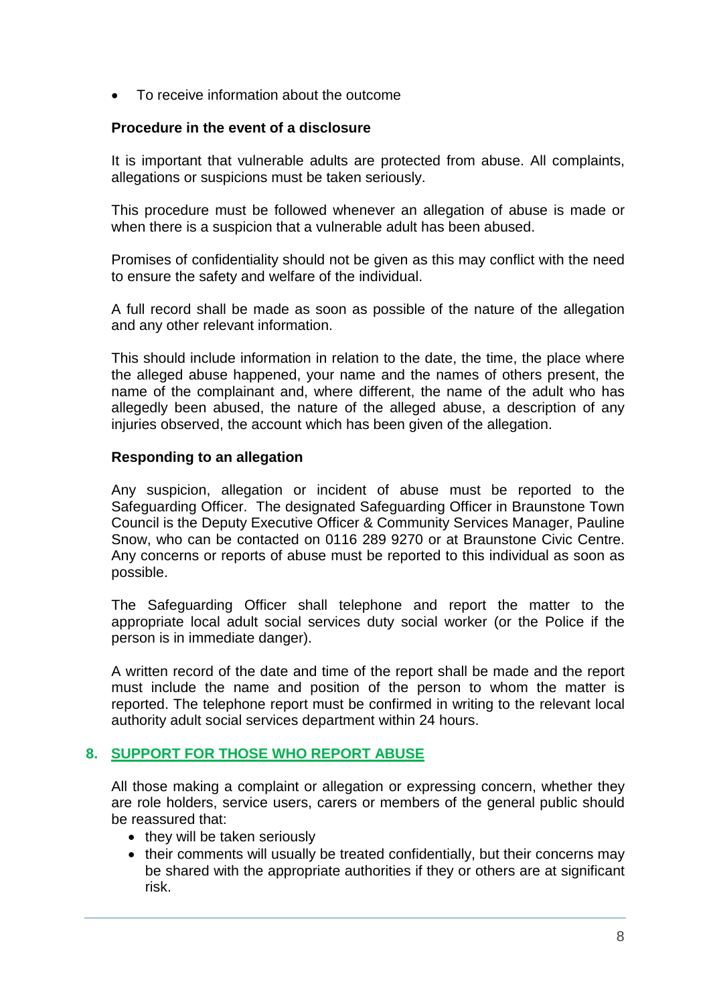• To receive information about the outcome

#### **Procedure in the event of a disclosure**

It is important that vulnerable adults are protected from abuse. All complaints, allegations or suspicions must be taken seriously.

This procedure must be followed whenever an allegation of abuse is made or when there is a suspicion that a vulnerable adult has been abused.

Promises of confidentiality should not be given as this may conflict with the need to ensure the safety and welfare of the individual.

A full record shall be made as soon as possible of the nature of the allegation and any other relevant information.

This should include information in relation to the date, the time, the place where the alleged abuse happened, your name and the names of others present, the name of the complainant and, where different, the name of the adult who has allegedly been abused, the nature of the alleged abuse, a description of any injuries observed, the account which has been given of the allegation.

#### <span id="page-7-0"></span>**Responding to an allegation**

Any suspicion, allegation or incident of abuse must be reported to the Safeguarding Officer. The designated Safeguarding Officer in Braunstone Town Council is the Deputy Executive Officer & Community Services Manager, Pauline Snow, who can be contacted on 0116 289 9270 or at Braunstone Civic Centre. Any concerns or reports of abuse must be reported to this individual as soon as possible.

The Safeguarding Officer shall telephone and report the matter to the appropriate local adult social services duty social worker (or the Police if the person is in immediate danger).

A written record of the date and time of the report shall be made and the report must include the name and position of the person to whom the matter is reported. The telephone report must be confirmed in writing to the relevant local authority adult social services department within 24 hours.

# <span id="page-7-1"></span>**8. SUPPORT FOR THOSE WHO REPORT ABUSE**

All those making a complaint or allegation or expressing concern, whether they are role holders, service users, carers or members of the general public should be reassured that:

- they will be taken seriously
- their comments will usually be treated confidentially, but their concerns may be shared with the appropriate authorities if they or others are at significant risk.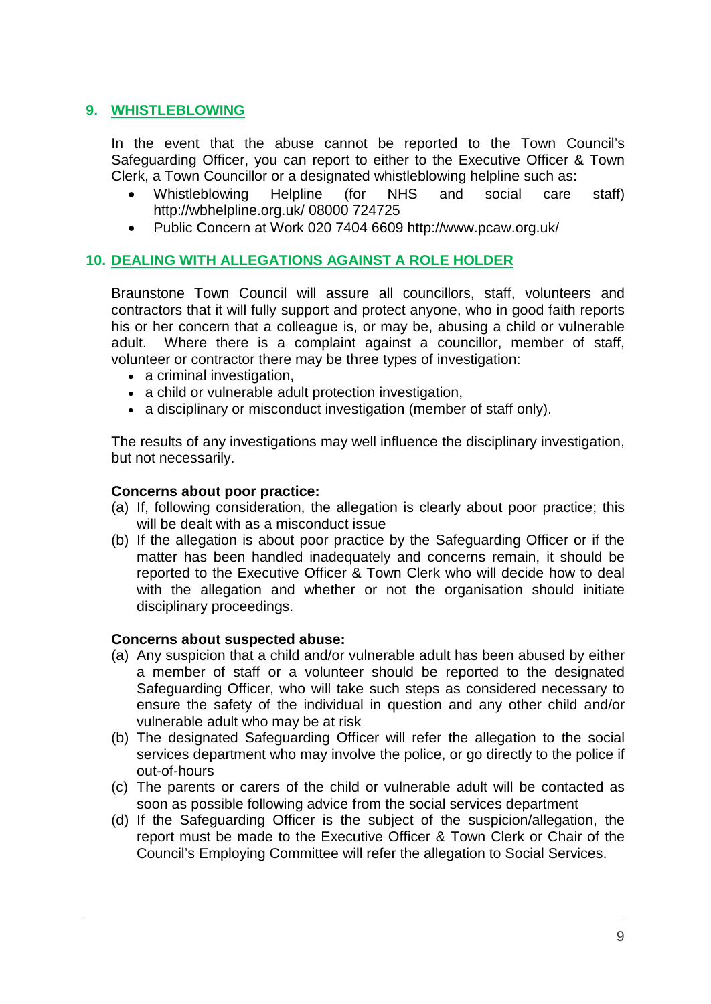# <span id="page-8-0"></span>**9. WHISTLEBLOWING**

In the event that the abuse cannot be reported to the Town Council's Safeguarding Officer, you can report to either to the Executive Officer & Town Clerk, a Town Councillor or a designated whistleblowing helpline such as:

- Whistleblowing Helpline (for NHS and social care staff) http://wbhelpline.org.uk/ 08000 724725
- Public Concern at Work 020 7404 6609 http://www.pcaw.org.uk/

# <span id="page-8-1"></span>**10. DEALING WITH ALLEGATIONS AGAINST A ROLE HOLDER**

Braunstone Town Council will assure all councillors, staff, volunteers and contractors that it will fully support and protect anyone, who in good faith reports his or her concern that a colleague is, or may be, abusing a child or vulnerable adult. Where there is a complaint against a councillor, member of staff, volunteer or contractor there may be three types of investigation:

- a criminal investigation,
- a child or vulnerable adult protection investigation,
- a disciplinary or misconduct investigation (member of staff only).

The results of any investigations may well influence the disciplinary investigation, but not necessarily.

#### <span id="page-8-2"></span>**Concerns about poor practice:**

- (a) If, following consideration, the allegation is clearly about poor practice; this will be dealt with as a misconduct issue
- (b) If the allegation is about poor practice by the Safeguarding Officer or if the matter has been handled inadequately and concerns remain, it should be reported to the Executive Officer & Town Clerk who will decide how to deal with the allegation and whether or not the organisation should initiate disciplinary proceedings.

#### <span id="page-8-3"></span>**Concerns about suspected abuse:**

- (a) Any suspicion that a child and/or vulnerable adult has been abused by either a member of staff or a volunteer should be reported to the designated Safeguarding Officer, who will take such steps as considered necessary to ensure the safety of the individual in question and any other child and/or vulnerable adult who may be at risk
- (b) The designated Safeguarding Officer will refer the allegation to the social services department who may involve the police, or go directly to the police if out-of-hours
- (c) The parents or carers of the child or vulnerable adult will be contacted as soon as possible following advice from the social services department
- <span id="page-8-4"></span>(d) If the Safeguarding Officer is the subject of the suspicion/allegation, the report must be made to the Executive Officer & Town Clerk or Chair of the Council's Employing Committee will refer the allegation to Social Services.